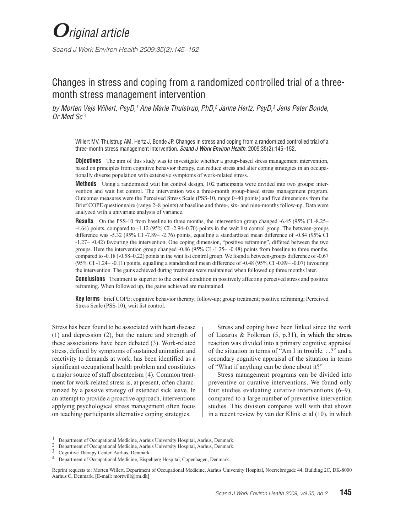*Scand J Work Environ Health 2009;35(2):145–152*

# Changes in stress and coping from a randomized controlled trial of a threemonth stress management intervention

by Morten Vejs Willert, PsyD,<sup>1</sup> Ane Marie Thulstrup, PhD,<sup>2</sup> Janne Hertz, PsyD,<sup>3</sup> Jens Peter Bonde, *Dr Med Sc 4*

Willert MV, Thulstrup AM, Hertz J, Bonde JP. Changes in stress and coping from a randomized controlled trial of a three-month stress management intervention. *Scand J Work Environ Health.* 2009;35(2):145–152.

**Objectives** The aim of this study was to investigate whether a group-based stress management intervention, based on principles from cognitive behavior therapy, can reduce stress and alter coping strategies in an occupationally diverse population with extensive symptoms of work-related stress.

**Methods** Using a randomized wait list control design, 102 participants were divided into two groups: intervention and wait list control. The intervention was a three-month group-based stress management program. Outcomes measures were the Perceived Stress Scale (PSS-10, range 0–40 points) and five dimensions from the Brief COPE questionnaire (range 2–8 points) at baseline and three-, six- and nine-months follow-up. Data were analyzed with a univariate analysis of variance.

**Results** On the PSS-10 from baseline to three months, the intervention group changed -6.45 (95% CI -8.25– -4.64) points, compared to -1.12 (95% CI -2.94–0.70) points in the wait list control group. The between-groups difference was -5.32 (95% CI -7.89– -2.76) points, equalling a standardized mean difference of -0.84 (95% CI -1.27– -0.42) favouring the intervention. One coping dimension, "positive reframing", differed between the two groups. Here the intervention group changed -0.86 (95% CI -1.25– -0.48) points from baseline to three months, compared to -0.18 (-0.58–0.22) points in the wait list control group. We found a between-groups difference of -0.67 (95% CI -1.24– -0.11) points, equalling a standardized mean difference of -0.48 (95% CI -0.89– -0.07) favouring the intervention. The gains achieved during treatment were maintained when followed up three months later.

**Conclusions** Treatment is superior to the control condition in positively affecting perceived stress and positive reframing. When followed up, the gains achieved are maintained.

**Key terms** brief COPE; cognitive behavior therapy; follow-up; group treatment; positive reframing; Perceived Stress Scale (PSS-10); wait list control.

Stress has been found to be associated with heart disease (1) and depression (2), but the nature and strength of these associations have been debated (3). Work-related stress, defined by symptoms of sustained animation and reactivity to demands at work, has been identified as a significant occupational health problem and constitutes a major source of staff absenteeism (4). Common treatment for work-related stress is, at present, often characterized by a passive strategy of extended sick leave. In an attempt to provide a proactive approach, interventions applying psychological stress management often focus on teaching participants alternative coping strategies.

Stress and coping have been linked since the work of Lazarus & Folkman  $(5, p.31)$ , in which the stress reaction was divided into a primary cognitive appraisal of the situation in terms of "Am I in trouble. . .?" and a secondary cognitive appraisal of the situation in terms of "What if anything can be done about it?"

Stress management programs can be divided into preventive or curative interventions. We found only four studies evaluating curative interventions (6–9), compared to a large number of preventive intervention studies. This division compares well with that shown in a recent review by van der Klink et al (10), in which

<sup>1</sup> Department of Occupational Medicine, Aarhus University Hospital, Aarhus, Denmark.<br>2 Department of Occupational Medicine, Aarhus University Hospital, Aarhus, Denmark.<br>3 Cognitive Therapy Center, Aarhus, Denmark.

<sup>4</sup> Department of Occupational Medicine, Bispebjerg Hospital, Copenhagen, Denmark.

Reprint requests to: Morten Willert, Department of Occupational Medicine, Aarhus University Hospital, Noerrebrogade 44, Building 2C, DK-8000 Aarhus C, Denmark. [E-mail: mortwill@rm.dk]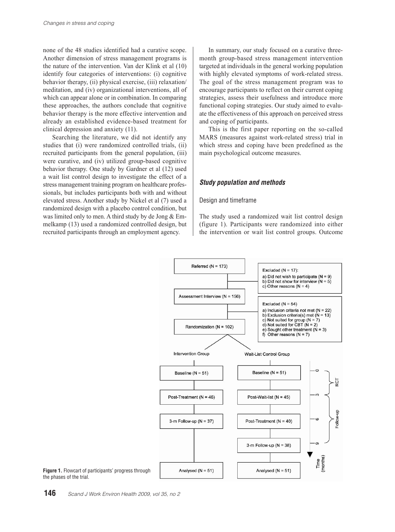none of the 48 studies identified had a curative scope. Another dimension of stress management programs is the nature of the intervention. Van der Klink et al (10) identify four categories of interventions: (i) cognitive behavior therapy, (ii) physical exercise, (iii) relaxation/ meditation, and (iv) organizational interventions, all of which can appear alone or in combination. In comparing these approaches, the authors conclude that cognitive behavior therapy is the more effective intervention and already an established evidence-based treatment for clinical depression and anxiety (11).

Searching the literature, we did not identify any studies that (i) were randomized controlled trials, (ii) recruited participants from the general population, (iii) were curative, and (iv) utilized group-based cognitive behavior therapy. One study by Gardner et al (12) used a wait list control design to investigate the effect of a stress management training program on healthcare professionals, but includes participants both with and without elevated stress. Another study by Nickel et al (7) used a randomized design with a placebo control condition, but was limited only to men. A third study by de Jong & Emmelkamp (13) used a randomized controlled design, but recruited participants through an employment agency.

In summary, our study focused on a curative threemonth group-based stress management intervention targeted at individuals in the general working population with highly elevated symptoms of work-related stress. The goal of the stress management program was to encourage participants to reflect on their current coping strategies, assess their usefulness and introduce more functional coping strategies. Our study aimed to evaluate the effectiveness of this approach on perceived stress and coping of participants.

This is the first paper reporting on the so-called MARS (measures against work-related stress) trial in which stress and coping have been predefined as the main psychological outcome measures.

# *Study population and methods*

## Design and timeframe

The study used a randomized wait list control design (figure 1). Participants were randomized into either the intervention or wait list control groups. Outcome



**Figure 1.** Flowcart of participants' progress through the phases of the trial.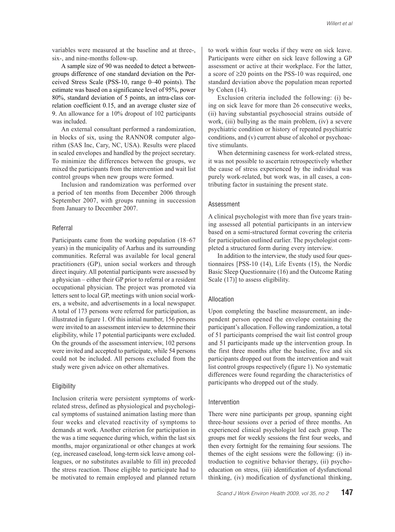variables were measured at the baseline and at three-, six-, and nine-months follow-up.

A sample size of 90 was needed to detect a betweengroups difference of one standard deviation on the Perceived Stress Scale (PSS-10, range 0–40 points). The estimate was based on a significance level of 95%, power 80%, standard deviation of 5 points, an intra-class correlation coefficient 0.15, and an average cluster size of 9. An allowance for a 10% dropout of 102 participants was included.

An external consultant performed a randomization, in blocks of six, using the RANNOR computer algorithm (SAS Inc, Cary, NC, USA). Results were placed in sealed envelopes and handled by the project secretary. To minimize the differences between the groups, we mixed the participants from the intervention and wait list control groups when new groups were formed.

Inclusion and randomization was performed over a period of ten months from December 2006 through September 2007, with groups running in succession from January to December 2007.

## Referral

Participants came from the working population (18–67 years) in the municipality of Aarhus and its surrounding communities. Referral was available for local general practitioners (GP), union social workers and through direct inquiry. All potential participants were assessed by a physician – either their GP prior to referral or a resident occupational physician. The project was promoted via letters sent to local GP, meetings with union social workers, a website, and advertisements in a local newspaper. A total of 173 persons were referred for participation, as illustrated in figure 1. Of this initial number, 156 persons were invited to an assessment interview to determine their eligibility, while 17 potential participants were excluded. On the grounds of the assessment interview, 102 persons were invited and accepted to participate, while 54 persons could not be included. All persons excluded from the study were given advice on other alternatives.

## **Eligibility**

Inclusion criteria were persistent symptoms of workrelated stress, defined as physiological and psychological symptoms of sustained animation lasting more than four weeks and elevated reactivity of symptoms to demands at work. Another criterion for participation in the was a time sequence during which, within the last six months, major organizational or other changes at work (eg, increased caseload, long-term sick leave among colleagues, or no substitutes available to fill in) preceded the stress reaction. Those eligible to participate had to be motivated to remain employed and planned return to work within four weeks if they were on sick leave. Participants were either on sick leave following a GP assessment or active at their workplace. For the latter, a score of ≥20 points on the PSS-10 was required, one standard deviation above the population mean reported by Cohen (14).

Exclusion criteria included the following: (i) being on sick leave for more than 26 consecutive weeks, (ii) having substantial psychosocial strains outside of work, (iii) bullying as the main problem, (iv) a severe psychiatric condition or history of repeated psychiatric conditions, and (v) current abuse of alcohol or psychoactive stimulants.

When determining caseness for work-related stress, it was not possible to ascertain retrospectively whether the cause of stress experienced by the individual was purely work-related, but work was, in all cases, a contributing factor in sustaining the present state.

## Assessment

A clinical psychologist with more than five years training assessed all potential participants in an interview based on a semi-structured format covering the criteria for participation outlined earlier. The psychologist completed a structured form during every interview.

In addition to the interview, the study used four questionnaires [PSS-10 (14), Life Events (15), the Nordic Basic Sleep Questionnaire (16) and the Outcome Rating Scale  $(17)$ ] to assess eligibility.

## Allocation

Upon completing the baseline measurement, an independent person opened the envelope containing the participant's allocation. Following randomization, a total of 51 participants comprised the wait list control group and 51 participants made up the intervention group. In the first three months after the baseline, five and six participants dropped out from the intervention and wait list control groups respectively (figure 1). No systematic differences were found regarding the characteristics of participants who dropped out of the study.

#### Intervention

There were nine participants per group, spanning eight three-hour sessions over a period of three months. An experienced clinical psychologist led each group. The groups met for weekly sessions the first four weeks, and then every fortnight for the remaining four sessions. The themes of the eight sessions were the following: (i) introduction to cognitive behavior therapy, (ii) psychoeducation on stress, (iii) identification of dysfunctional thinking, (iv) modification of dysfunctional thinking,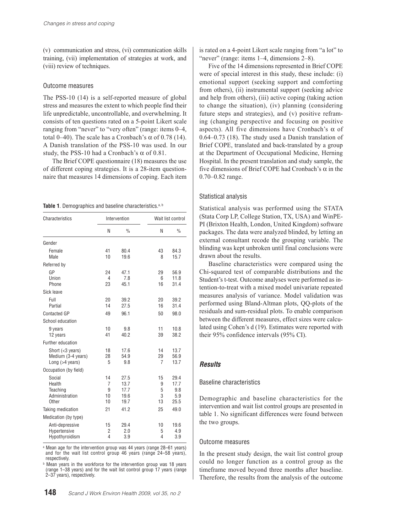(v) communication and stress, (vi) communication skills training, (vii) implementation of strategies at work, and (viii) review of techniques.

## Outcome measures

The PSS-10 (14) is a self-reported measure of global stress and measures the extent to which people find their life unpredictable, uncontrollable, and overwhelming. It consists of ten questions rated on a 5-point Likert scale ranging from "never" to "very often" (range: items 0–4, total 0–40). The scale has a Cronbach's α of 0.78 (14). A Danish translation of the PSS-10 was used. In our study, the PSS-10 had a Cronbach's  $\alpha$  of 0.81.

The Brief COPE questionnaire (18) measures the use of different coping strategies. It is a 28-item questionnaire that measures 14 dimensions of coping. Each item

Table 1. Demographics and baseline characteristics.<sup>a, b</sup>

| Characteristics          |                | Intervention  | Wait list control |               |  |  |
|--------------------------|----------------|---------------|-------------------|---------------|--|--|
|                          | N              | $\frac{0}{0}$ | N                 | $\frac{0}{0}$ |  |  |
| Gender                   |                |               |                   |               |  |  |
| Female                   | 41             | 80.4          | 43                | 84.3          |  |  |
| Male                     | 10             | 19.6          | 8                 | 15.7          |  |  |
| Referred by              |                |               |                   |               |  |  |
| GP                       | 24             | 47.1          | 29                | 56.9          |  |  |
| Union                    | 4              | 7.8           | 6                 | 11.8          |  |  |
| Phone                    | 23             | 45.1          | 16                | 31.4          |  |  |
| Sick leave               |                |               |                   |               |  |  |
| Full                     | 20             | 39.2          | 20                | 39.2          |  |  |
| Partial                  | 14             | 27.5          | 16                | 31.4          |  |  |
| Contacted GP             | 49             | 96.1          | 50                | 98.0          |  |  |
| School education         |                |               |                   |               |  |  |
| 9 years                  | 10             | 9.8           | 11                | 10.8          |  |  |
| 12 years                 | 41             | 40.2          | 39                | 38.2          |  |  |
| <b>Further education</b> |                |               |                   |               |  |  |
| Short $(3 years)$        | 18             | 17.6          | 14                | 13.7          |  |  |
| Medium (3-4 years)       | 28             | 54.9          | 29                | 56.9          |  |  |
| Long (>4 years)          | 5              | 9.8           | $\overline{7}$    | 13.7          |  |  |
| Occupation (by field)    |                |               |                   |               |  |  |
| Social                   | 14             | 27.5          | 15                | 29.4          |  |  |
| Health                   | $\overline{7}$ | 13.7          | 9                 | 17.7          |  |  |
| Teaching                 | 9              | 17.7          | 5                 | 9.8           |  |  |
| Administration<br>Other  | 10<br>10       | 19.6          | 3<br>13           | 5.9<br>25.5   |  |  |
|                          |                | 19.7          |                   |               |  |  |
| Taking medication        | 21             | 41.2          | 25                | 49.0          |  |  |
| Medication (by type)     |                |               |                   |               |  |  |
| Anti-depressive          | 15             | 29.4          | 10                | 19.6          |  |  |
| Hypertensive             | 2              | 2.0           | 5                 | 4.9           |  |  |
| Hypothyroidism           | 4              | 3.9           | 4                 | 3.9           |  |  |

a Mean age for the intervention group was 44 years (range 28–61 years) and for the wait list control group 46 years (range 24–58 years), respectively.

**b** Mean years in the workforce for the intervention group was 18 years (range 1–38 years) and for the wait list control group 17 years (range 2–37 years), respectively.

is rated on a 4-point Likert scale ranging from "a lot" to "never" (range: items 1–4, dimensions 2–8).

Five of the 14 dimensions represented in Brief COPE were of special interest in this study, these include: (i) emotional support (seeking support and comforting from others), (ii) instrumental support (seeking advice and help from others), (iii) active coping (taking action to change the situation), (iv) planning (considering future steps and strategies), and (v) positive reframing (changing perspective and focusing on positive aspects). All five dimensions have Cronbach's  $\alpha$  of 0.64–0.73 (18). The study used a Danish translation of Brief COPE, translated and back-translated by a group at the Department of Occupational Medicine, Herning Hospital. In the present translation and study sample, the five dimensions of Brief COPE had Cronbach's  $\alpha$  in the 0.70–0.82 range.

## Statistical analysis

Statistical analysis was performed using the STATA (Stata Corp LP, College Station, TX, USA) and WinPE-PI (Brixton Health, London, United Kingdom) software packages. The data were analyzed blinded, by letting an external consultant recode the grouping variable. The blinding was kept unbroken until final conclusions were drawn about the results.

Baseline characteristics were compared using the Chi-squared test of comparable distributions and the Student's t-test. Outcome analyses were performed as intention-to-treat with a mixed model univariate repeated measures analysis of variance. Model validation was performed using Bland-Altman plots, QQ-plots of the residuals and sum-residual plots. To enable comparison between the different measures, effect sizes were calculated using Cohen's d (19). Estimates were reported with their 95% confidence intervals (95% CI).

# *Results*

## Baseline characteristics

Demographic and baseline characteristics for the intervention and wait list control groups are presented in table 1. No significant differences were found between the two groups.

## Outcome measures

In the present study design, the wait list control group could no longer function as a control group as the timeframe moved beyond three months after baseline. Therefore, the results from the analysis of the outcome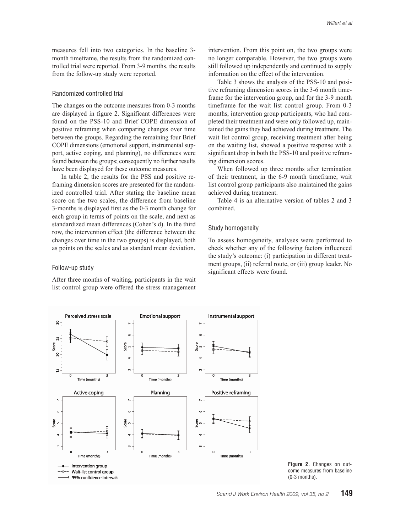measures fell into two categories. In the baseline 3 month timeframe, the results from the randomized controlled trial were reported. From 3-9 months, the results from the follow-up study were reported.

## Randomized controlled trial

The changes on the outcome measures from 0-3 months are displayed in figure 2. Significant differences were found on the PSS-10 and Brief COPE dimension of positive reframing when comparing changes over time between the groups. Regarding the remaining four Brief COPE dimensions (emotional support, instrumental support, active coping, and planning), no differences were found between the groups; consequently no further results have been displayed for these outcome measures.

In table 2, the results for the PSS and positive reframing dimension scores are presented for the randomized controlled trial. After stating the baseline mean score on the two scales, the difference from baseline 3-months is displayed first as the 0-3 month change for each group in terms of points on the scale, and next as standardized mean differences (Cohen's d). In the third row, the intervention effect (the difference between the changes over time in the two groups) is displayed, both as points on the scales and as standard mean deviation.

#### Follow-up study

After three months of waiting, participants in the wait list control group were offered the stress management intervention. From this point on, the two groups were no longer comparable. However, the two groups were still followed up independently and continued to supply information on the effect of the intervention.

Table 3 shows the analysis of the PSS-10 and positive reframing dimension scores in the 3-6 month timeframe for the intervention group, and for the 3-9 month timeframe for the wait list control group. From 0-3 months, intervention group participants, who had completed their treatment and were only followed up, maintained the gains they had achieved during treatment. The wait list control group, receiving treatment after being on the waiting list, showed a positive response with a significant drop in both the PSS-10 and positive reframing dimension scores.

When followed up three months after termination of their treatment, in the 6-9 month timeframe, wait list control group participants also maintained the gains achieved during treatment.

Table 4 is an alternative version of tables 2 and 3 combined.

#### Study homogeneity

To assess homogeneity, analyses were performed to check whether any of the following factors influenced the study's outcome: (i) participation in different treatment groups, (ii) referral route, or (iii) group leader. No significant effects were found.



**Figure 2.** Changes on outcome measures from baseline (0-3 months).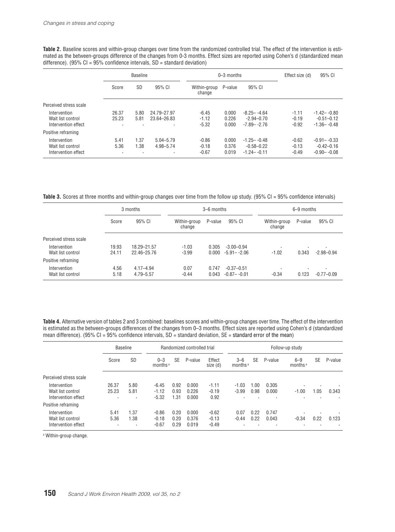Table 2. Baseline scores and within-group changes over time from the randomized controlled trial. The effect of the intervention is estimated as the between-groups difference of the changes from 0-3 months. Effect sizes are reported using Cohen's d (standardized mean difference). (95%  $CI = 95%$  confidence intervals,  $SD =$  standard deviation)

|                        | <b>Baseline</b>              |                |                        |                   | $0 - 3$ months | Effect size (d) | 95% CI  |                 |
|------------------------|------------------------------|----------------|------------------------|-------------------|----------------|-----------------|---------|-----------------|
|                        | <b>SD</b><br>95% CI<br>Score |                | Within-group<br>change | 95% CI<br>P-value |                |                 |         |                 |
| Perceived stress scale |                              |                |                        |                   |                |                 |         |                 |
| Intervention           | 26.37                        | 5.80           | 24.79-27.97            | $-6.45$           | 0.000          | $-8.25 - -4.64$ | $-1.11$ | $-1.42 - -0.80$ |
| Wait list control      | 25.23                        | 5.81           | 23.64-26.83            | $-1.12$           | 0.226          | $-294-070$      | $-0.19$ | $-0.51 - 0.12$  |
| Intervention effect    | $\overline{\phantom{a}}$     |                | ٠                      | $-5.32$           | 0.000          | $-7.89 - -2.76$ | $-0.92$ | $-1.36 - -0.48$ |
| Positive reframing     |                              |                |                        |                   |                |                 |         |                 |
| Intervention           | 5.41                         | 1.37           | $5.04 - 5.79$          | $-0.86$           | 0.000          | $-1.25 - -0.48$ | $-0.62$ | $-0.91 - -0.33$ |
| Wait list control      | 5.36                         | 1.38           | 4.98-5.74              | $-0.18$           | 0.376          | $-0.58 - 0.22$  | $-0.13$ | $-0.42 - 0.16$  |
| Intervention effect    | ٠                            | $\blacksquare$ | ٠                      | $-0.67$           | 0.019          | $-1.24 - -0.11$ | $-0.49$ | $-0.90 - -0.08$ |

Table 3. Scores at three months and within-group changes over time from the follow up study. (95% CI = 95% confidence intervals)

|                        |       | 3 months      |                        | 3-6 months |                 | 6-9 months               |         |                |  |
|------------------------|-------|---------------|------------------------|------------|-----------------|--------------------------|---------|----------------|--|
|                        | Score | 95% CI        | Within-group<br>change | P-value    | 95% CI          | Within-group<br>change   | P-value | 95% CI         |  |
| Perceived stress scale |       |               |                        |            |                 |                          |         |                |  |
| Intervention           | 19.93 | 18.29 - 21.57 | $-1.03$                | 0.305      | $-3.00 - 0.94$  | $\overline{\phantom{a}}$ | ٠       | ٠              |  |
| Wait list control      | 24.11 | 22.46-25.76   | $-3.99$                | 0.000      | $-5.91 - -2.06$ | $-1.02$                  | 0.343   | $-2.98 - 0.94$ |  |
| Positive reframing     |       |               |                        |            |                 |                          |         |                |  |
| Intervention           | 4.56  | $4.17 - 4.94$ | 0.07                   | 0.747      | $-0.37 - 0.51$  |                          | ٠       | $\cdot$        |  |
| Wait list control      | 5.18  | 4.79 - 5.57   | $-0.44$                | 0.043      | $-0.87 - -0.01$ | $-0.34$                  | 0.123   | $-0.77 - 0.09$ |  |

**Table 4.** Alternative version of tables 2 and 3 combined: baselines scores and within-group changes over time. The effect of the intervention is estimated as the between-groups differences of the changes from 0–3 months. Effect sizes are reported using Cohen's d (standardized mean difference). (95% CI = 95% confidence intervals, SD = standard deviation, SE = standard error of the mean)

|                                                          | <b>Baseline</b> |                   | Randomized controlled trial    |                      |                         | Follow-up study               |                                |              |                |                                |                            |         |
|----------------------------------------------------------|-----------------|-------------------|--------------------------------|----------------------|-------------------------|-------------------------------|--------------------------------|--------------|----------------|--------------------------------|----------------------------|---------|
|                                                          | Score           | <b>SD</b>         | $0 - 3$<br>months <sup>a</sup> | <b>SE</b>            | P-value                 | Effect<br>size (d)            | $3 - 6$<br>months <sup>a</sup> | <b>SE</b>    | P-value        | $6 - 9$<br>months <sup>a</sup> | <b>SE</b>                  | P-value |
| Perceived stress scale                                   |                 |                   |                                |                      |                         |                               |                                |              |                |                                |                            |         |
| Intervention<br>Wait list control<br>Intervention effect | 26.37<br>25.23  | 5.80<br>5.81<br>٠ | $-6.45$<br>$-1.12$<br>$-5.32$  | 0.92<br>0.93<br>1.31 | 0.000<br>0.226<br>0.000 | $-1.11$<br>$-0.19$<br>0.92    | $-1.03$<br>$-3.99$             | -00<br>0.98  | 0.305<br>0.000 | $-1.00$                        | $\cdot$<br>l.05<br>$\cdot$ | 0.343   |
| Positive reframing                                       |                 |                   |                                |                      |                         |                               |                                |              |                |                                |                            |         |
| Intervention<br>Wait list control<br>Intervention effect | 5.41<br>5.36    | 1.37<br>1.38<br>٠ | $-0.86$<br>$-0.18$<br>$-0.67$  | 0.20<br>0.20<br>0.29 | 0.000<br>0.376<br>0.019 | $-0.62$<br>$-0.13$<br>$-0.49$ | 0.07<br>$-0.44$                | 0.22<br>0.22 | 0.747<br>0.043 | ٠<br>$-0.34$                   | $\cdot$<br>0.22<br>$\cdot$ | 0.123   |

a Within-group change.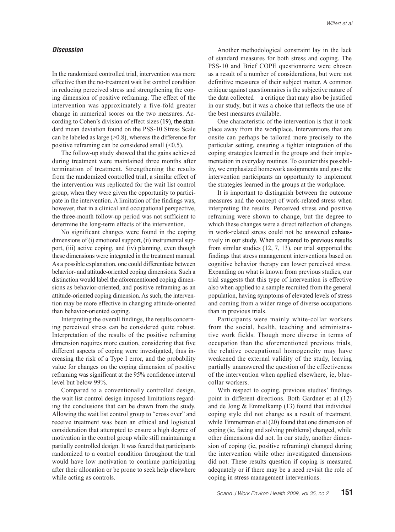# *Discussion*

In the randomized controlled trial, intervention was more effective than the no-treatment wait list control condition in reducing perceived stress and strengthening the coping dimension of positive reframing. The effect of the intervention was approximately a five-fold greater change in numerical scores on the two measures. According to Cohen's division of effect sizes  $(19)$ , the standard mean deviation found on the PSS-10 Stress Scale can be labeled as large  $(>0.8)$ , whereas the difference for positive reframing can be considered small  $(\leq 0.5)$ .

The follow-up study showed that the gains achieved during treatment were maintained three months after termination of treatment. Strengthening the results from the randomized controlled trial, a similar effect of the intervention was replicated for the wait list control group, when they were given the opportunity to participate in the intervention. A limitation of the findings was, however, that in a clinical and occupational perspective, the three-month follow-up period was not sufficient to determine the long-term effects of the intervention.

No significant changes were found in the coping dimensions of (i) emotional support, (ii) instrumental support, (iii) active coping, and (iv) planning, even though these dimensions were integrated in the treatment manual. As a possible explanation, one could differentiate between behavior- and attitude-oriented coping dimensions. Such a distinction would label the aforementioned coping dimensions as behavior-oriented, and positive reframing as an attitude-oriented coping dimension. As such, the intervention may be more effective in changing attitude-oriented than behavior-oriented coping.

Interpreting the overall findings, the results concerning perceived stress can be considered quite robust. Interpretation of the results of the positive reframing dimension requires more caution, considering that five different aspects of coping were investigated, thus increasing the risk of a Type I error, and the probability value for changes on the coping dimension of positive reframing was significant at the 95% confidence interval level but below 99%.

Compared to a conventionally controlled design, the wait list control design imposed limitations regarding the conclusions that can be drawn from the study. Allowing the wait list control group to "cross over" and receive treatment was been an ethical and logistical consideration that attempted to ensure a high degree of motivation in the control group while still maintaining a partially controlled design. It was feared that participants randomized to a control condition throughout the trial would have low motivation to continue participating after their allocation or be prone to seek help elsewhere while acting as controls.

Another methodological constraint lay in the lack of standard measures for both stress and coping. The PSS-10 and Brief COPE questionnaire were chosen as a result of a number of considerations, but were not definitive measures of their subject matter. A common critique against questionnaires is the subjective nature of the data collected – a critique that may also be justified in our study, but it was a choice that reflects the use of the best measures available.

One characteristic of the intervention is that it took place away from the workplace. Interventions that are onsite can perhaps be tailored more precisely to the particular setting, ensuring a tighter integration of the coping strategies learned in the groups and their implementation in everyday routines. To counter this possibility, we emphasized homework assignments and gave the intervention participants an opportunity to implement the strategies learned in the groups at the workplace.

It is important to distinguish between the outcome measures and the concept of work-related stress when interpreting the results. Perceived stress and positive reframing were shown to change, but the degree to which these changes were a direct reflection of changes in work-related stress could not be answered exhaustively in our study. When compared to previous results from similar studies (12, 7, 13), our trial supported the findings that stress management interventions based on cognitive behavior therapy can lower perceived stress. Expanding on what is known from previous studies, our trial suggests that this type of intervention is effective also when applied to a sample recruited from the general population, having symptoms of elevated levels of stress and coming from a wider range of diverse occupations than in previous trials.

Participants were mainly white-collar workers from the social, health, teaching and administrative work fields. Though more diverse in terms of occupation than the aforementioned previous trials, the relative occupational homogeneity may have weakened the external validity of the study, leaving partially unanswered the question of the effectiveness of the intervention when applied elsewhere, ie, bluecollar workers.

With respect to coping, previous studies' findings point in different directions. Both Gardner et al (12) and de Jong & Emmelkamp (13) found that individual coping style did not change as a result of treatment, while Timmerman et al (20) found that one dimension of coping (ie, facing and solving problems) changed, while other dimensions did not. In our study, another dimension of coping (ie, positive reframing) changed during the intervention while other investigated dimensions did not. These results question if coping is measured adequately or if there may be a need revisit the role of coping in stress management interventions.